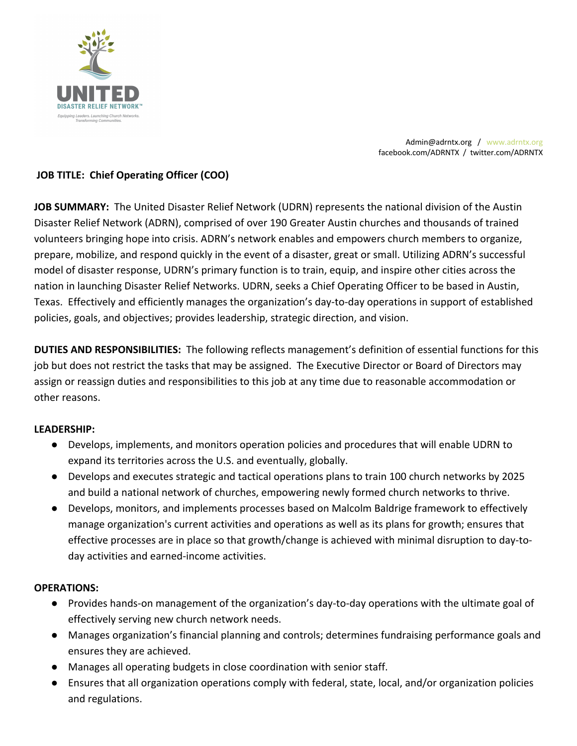

Admin@adrntx.org / www.adrntx.org facebook.com/ADRNTX / twitter.com/ADRNTX

# **JOB TITLE: Chief Operating Officer (COO)**

**JOB SUMMARY:** The United Disaster Relief Network (UDRN) represents the national division of the Austin Disaster Relief Network (ADRN), comprised of over 190 Greater Austin churches and thousands of trained volunteers bringing hope into crisis. ADRN's network enables and empowers church members to organize, prepare, mobilize, and respond quickly in the event of a disaster, great or small. Utilizing ADRN's successful model of disaster response, UDRN's primary function is to train, equip, and inspire other cities across the nation in launching Disaster Relief Networks. UDRN, seeks a Chief Operating Officer to be based in Austin, Texas. Effectively and efficiently manages the organization's day-to-day operations in support of established policies, goals, and objectives; provides leadership, strategic direction, and vision.

**DUTIES AND RESPONSIBILITIES:** The following reflects management's definition of essential functions for this job but does not restrict the tasks that may be assigned. The Executive Director or Board of Directors may assign or reassign duties and responsibilities to this job at any time due to reasonable accommodation or other reasons.

# **LEADERSHIP:**

- Develops, implements, and monitors operation policies and procedures that will enable UDRN to expand its territories across the U.S. and eventually, globally.
- Develops and executes strategic and tactical operations plans to train 100 church networks by 2025 and build a national network of churches, empowering newly formed church networks to thrive.
- Develops, monitors, and implements processes based on Malcolm Baldrige framework to effectively manage organization's current activities and operations as well as its plans for growth; ensures that effective processes are in place so that growth/change is achieved with minimal disruption to day-today activities and earned-income activities.

# **OPERATIONS:**

- Provides hands-on management of the organization's day-to-day operations with the ultimate goal of effectively serving new church network needs.
- Manages organization's financial planning and controls; determines fundraising performance goals and ensures they are achieved.
- Manages all operating budgets in close coordination with senior staff.
- Ensures that all organization operations comply with federal, state, local, and/or organization policies and regulations.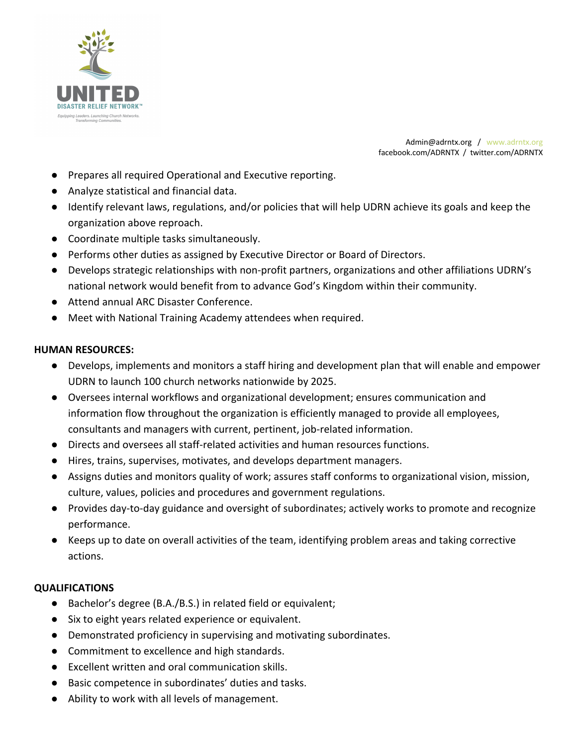

Admin@adrntx.org / www.adrntx.org facebook.com/ADRNTX / twitter.com/ADRNTX

- Prepares all required Operational and Executive reporting.
- Analyze statistical and financial data.
- Identify relevant laws, regulations, and/or policies that will help UDRN achieve its goals and keep the organization above reproach.
- Coordinate multiple tasks simultaneously.
- Performs other duties as assigned by Executive Director or Board of Directors.
- Develops strategic relationships with non-profit partners, organizations and other affiliations UDRN's national network would benefit from to advance God's Kingdom within their community.
- Attend annual ARC Disaster Conference.
- Meet with National Training Academy attendees when required.

### **HUMAN RESOURCES:**

- Develops, implements and monitors a staff hiring and development plan that will enable and empower UDRN to launch 100 church networks nationwide by 2025.
- Oversees internal workflows and organizational development; ensures communication and information flow throughout the organization is efficiently managed to provide all employees, consultants and managers with current, pertinent, job-related information.
- Directs and oversees all staff-related activities and human resources functions.
- Hires, trains, supervises, motivates, and develops department managers.
- Assigns duties and monitors quality of work; assures staff conforms to organizational vision, mission, culture, values, policies and procedures and government regulations.
- Provides day-to-day guidance and oversight of subordinates; actively works to promote and recognize performance.
- Keeps up to date on overall activities of the team, identifying problem areas and taking corrective actions.

### **QUALIFICATIONS**

- Bachelor's degree (B.A./B.S.) in related field or equivalent;
- Six to eight years related experience or equivalent.
- Demonstrated proficiency in supervising and motivating subordinates.
- Commitment to excellence and high standards.
- Excellent written and oral communication skills.
- Basic competence in subordinates' duties and tasks.
- Ability to work with all levels of management.